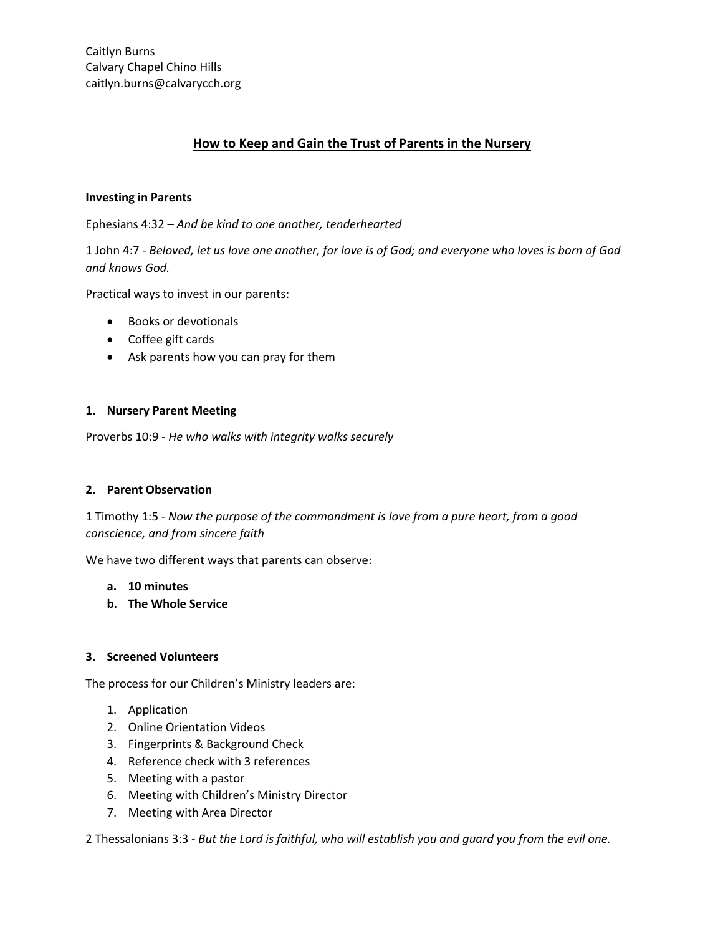# **How to Keep and Gain the Trust of Parents in the Nursery**

# **Investing in Parents**

Ephesians 4:32 – *And be kind to one another, tenderhearted*

1 John 4:7 - *Beloved, let us love one another, for love is of God; and everyone who loves is born of God and knows God.*

Practical ways to invest in our parents:

- Books or devotionals
- Coffee gift cards
- Ask parents how you can pray for them

## **1. Nursery Parent Meeting**

Proverbs 10:9 - *He who walks with integrity walks securely*

## **2. Parent Observation**

1 Timothy 1:5 - *Now the purpose of the commandment is love from a pure heart, from a good conscience, and from sincere faith*

We have two different ways that parents can observe:

#### **a. 10 minutes**

**b. The Whole Service**

## **3. Screened Volunteers**

The process for our Children's Ministry leaders are:

- 1. Application
- 2. Online Orientation Videos
- 3. Fingerprints & Background Check
- 4. Reference check with 3 references
- 5. Meeting with a pastor
- 6. Meeting with Children's Ministry Director
- 7. Meeting with Area Director

2 Thessalonians 3:3 - *But the Lord is faithful, who will establish you and guard you from the evil one.*